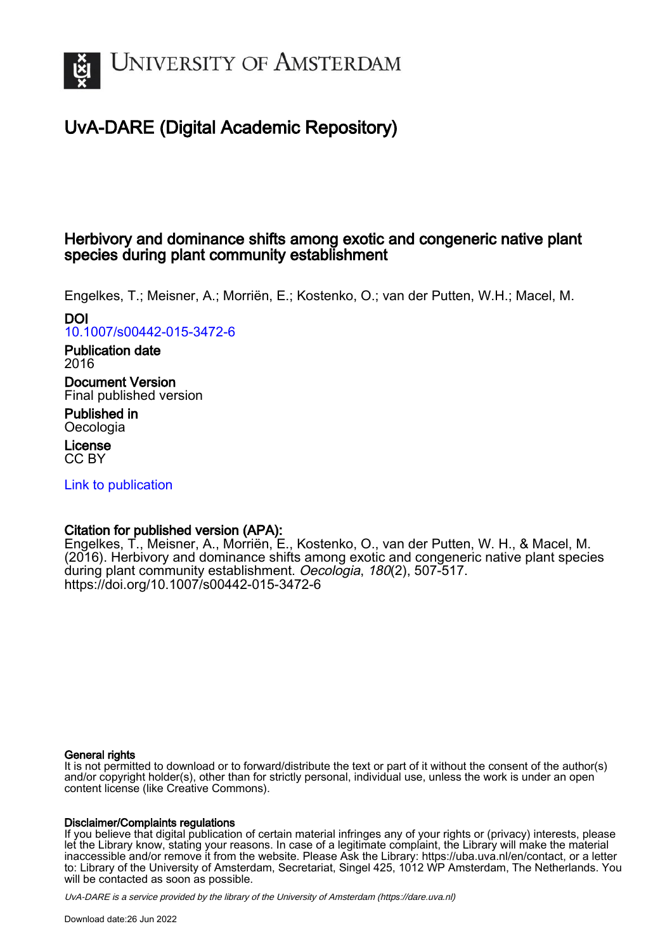

# UvA-DARE (Digital Academic Repository)

# Herbivory and dominance shifts among exotic and congeneric native plant species during plant community establishment

Engelkes, T.; Meisner, A.; Morriën, E.; Kostenko, O.; van der Putten, W.H.; Macel, M. DOI

[10.1007/s00442-015-3472-6](https://doi.org/10.1007/s00442-015-3472-6)

Publication date 2016

Document Version Final published version

Published in **Oecologia** 

License CC BY

[Link to publication](https://dare.uva.nl/personal/pure/en/publications/herbivory-and-dominance-shifts-among-exotic-and-congeneric-native-plant-species-during-plant-community-establishment(d5d0c6f0-8e06-40c6-a2a9-7786b9cd61a2).html)

# Citation for published version (APA):

Engelkes, T., Meisner, A., Morriën, E., Kostenko, O., van der Putten, W. H., & Macel, M. (2016). Herbivory and dominance shifts among exotic and congeneric native plant species during plant community establishment. Oecologia, 180(2), 507-517. <https://doi.org/10.1007/s00442-015-3472-6>

## General rights

It is not permitted to download or to forward/distribute the text or part of it without the consent of the author(s) and/or copyright holder(s), other than for strictly personal, individual use, unless the work is under an open content license (like Creative Commons).

## Disclaimer/Complaints regulations

If you believe that digital publication of certain material infringes any of your rights or (privacy) interests, please let the Library know, stating your reasons. In case of a legitimate complaint, the Library will make the material inaccessible and/or remove it from the website. Please Ask the Library: https://uba.uva.nl/en/contact, or a letter to: Library of the University of Amsterdam, Secretariat, Singel 425, 1012 WP Amsterdam, The Netherlands. You will be contacted as soon as possible.

UvA-DARE is a service provided by the library of the University of Amsterdam (http*s*://dare.uva.nl)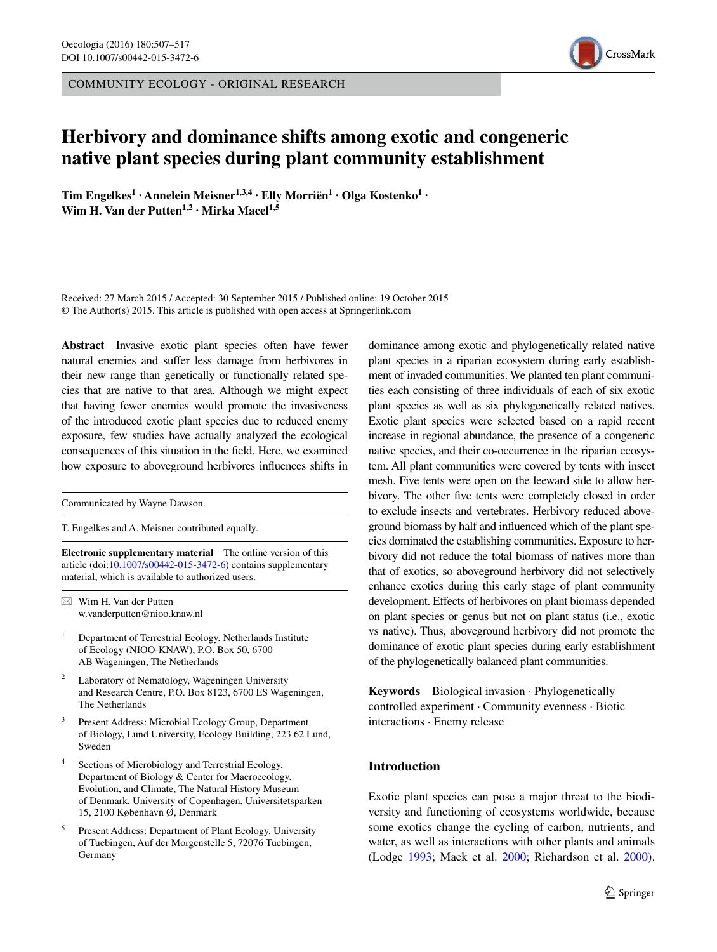COMMUNITY ECOLOGY - ORIGINAL RESEARCH



# **Herbivory and dominance shifts among exotic and congeneric native plant species during plant community establishment**

 $\text{Tim Engelkes}^1 \cdot \text{Anneleni Meisner}^{1,3,4} \cdot \text{Elly Morriën}^1 \cdot \text{Olga Kostenko}^1 \cdot$ **Wim H. Van der Putten**<sup>1,2</sup> **• Mirka Macel**<sup>1,5</sup>

Received: 27 March 2015 / Accepted: 30 September 2015 / Published online: 19 October 2015 © The Author(s) 2015. This article is published with open access at Springerlink.com

**Abstract** Invasive exotic plant species often have fewer natural enemies and suffer less damage from herbivores in their new range than genetically or functionally related species that are native to that area. Although we might expect that having fewer enemies would promote the invasiveness of the introduced exotic plant species due to reduced enemy exposure, few studies have actually analyzed the ecological consequences of this situation in the field. Here, we examined how exposure to aboveground herbivores influences shifts in

Communicated by Wayne Dawson.

T. Engelkes and A. Meisner contributed equally.

**Electronic supplementary material** The online version of this article (doi[:10.1007/s00442-015-3472-6](http://dx.doi.org/10.1007/s00442-015-3472-6)) contains supplementary material, which is available to authorized users.

 $\boxtimes$  Wim H. Van der Putten w.vanderputten@nioo.knaw.nl

- <sup>1</sup> Department of Terrestrial Ecology, Netherlands Institute of Ecology (NIOO-KNAW), P.O. Box 50, 6700 AB Wageningen, The Netherlands
- Laboratory of Nematology, Wageningen University and Research Centre, P.O. Box 8123, 6700 ES Wageningen, The Netherlands
- Present Address: Microbial Ecology Group, Department of Biology, Lund University, Ecology Building, 223 62 Lund, Sweden
- <sup>4</sup> Sections of Microbiology and Terrestrial Ecology, Department of Biology & Center for Macroecology, Evolution, and Climate, The Natural History Museum of Denmark, University of Copenhagen, Universitetsparken 15, 2100 København Ø, Denmark
- Present Address: Department of Plant Ecology, University of Tuebingen, Auf der Morgenstelle 5, 72076 Tuebingen, Germany

dominance among exotic and phylogenetically related native plant species in a riparian ecosystem during early establishment of invaded communities. We planted ten plant communities each consisting of three individuals of each of six exotic plant species as well as six phylogenetically related natives. Exotic plant species were selected based on a rapid recent increase in regional abundance, the presence of a congeneric native species, and their co-occurrence in the riparian ecosystem. All plant communities were covered by tents with insect mesh. Five tents were open on the leeward side to allow herbivory. The other five tents were completely closed in order to exclude insects and vertebrates. Herbivory reduced aboveground biomass by half and influenced which of the plant species dominated the establishing communities. Exposure to herbivory did not reduce the total biomass of natives more than that of exotics, so aboveground herbivory did not selectively enhance exotics during this early stage of plant community development. Effects of herbivores on plant biomass depended on plant species or genus but not on plant status (i.e., exotic vs native). Thus, aboveground herbivory did not promote the dominance of exotic plant species during early establishment of the phylogenetically balanced plant communities.

**Keywords** Biological invasion · Phylogenetically controlled experiment · Community evenness · Biotic interactions · Enemy release

## **Introduction**

Exotic plant species can pose a major threat to the biodiversity and functioning of ecosystems worldwide, because some exotics change the cycling of carbon, nutrients, and water, as well as interactions with other plants and animals (Lodge [1993;](#page-10-0) Mack et al. [2000](#page-10-1); Richardson et al. [2000](#page-10-2)).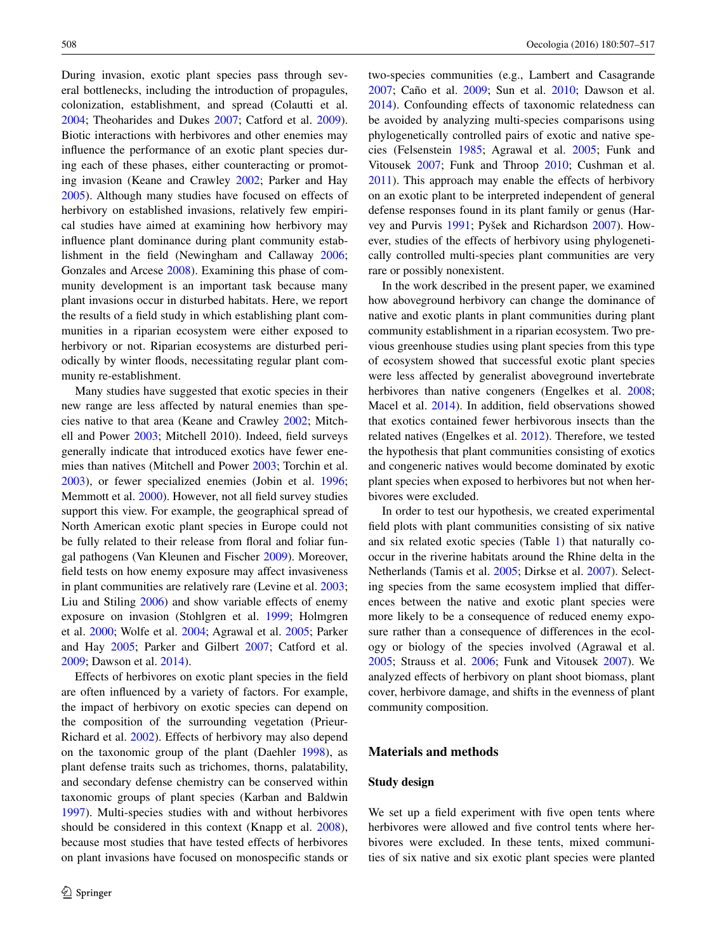During invasion, exotic plant species pass through several bottlenecks, including the introduction of propagules, colonization, establishment, and spread (Colautti et al. [2004](#page-9-0); Theoharides and Dukes [2007;](#page-11-0) Catford et al. [2009](#page-9-1)). Biotic interactions with herbivores and other enemies may influence the performance of an exotic plant species during each of these phases, either counteracting or promoting invasion (Keane and Crawley [2002](#page-10-3); Parker and Hay [2005](#page-10-4)). Although many studies have focused on effects of herbivory on established invasions, relatively few empirical studies have aimed at examining how herbivory may influence plant dominance during plant community establishment in the field (Newingham and Callaway [2006](#page-10-5); Gonzales and Arcese [2008\)](#page-10-6). Examining this phase of community development is an important task because many plant invasions occur in disturbed habitats. Here, we report the results of a field study in which establishing plant communities in a riparian ecosystem were either exposed to herbivory or not. Riparian ecosystems are disturbed periodically by winter floods, necessitating regular plant community re-establishment.

Many studies have suggested that exotic species in their new range are less affected by natural enemies than species native to that area (Keane and Crawley [2002;](#page-10-3) Mitchell and Power [2003](#page-10-7); Mitchell 2010). Indeed, field surveys generally indicate that introduced exotics have fewer enemies than natives (Mitchell and Power [2003;](#page-10-7) Torchin et al. [2003](#page-11-1)), or fewer specialized enemies (Jobin et al. [1996](#page-10-8); Memmott et al. [2000](#page-10-9)). However, not all field survey studies support this view. For example, the geographical spread of North American exotic plant species in Europe could not be fully related to their release from floral and foliar fungal pathogens (Van Kleunen and Fischer [2009\)](#page-11-2). Moreover, field tests on how enemy exposure may affect invasiveness in plant communities are relatively rare (Levine et al. [2003](#page-10-10); Liu and Stiling [2006](#page-10-11)) and show variable effects of enemy exposure on invasion (Stohlgren et al. [1999;](#page-10-12) Holmgren et al. [2000](#page-10-13); Wolfe et al. [2004;](#page-11-3) Agrawal et al. [2005](#page-9-2); Parker and Hay [2005](#page-10-4); Parker and Gilbert [2007;](#page-10-14) Catford et al. [2009;](#page-9-1) Dawson et al. [2014](#page-9-3)).

Effects of herbivores on exotic plant species in the field are often influenced by a variety of factors. For example, the impact of herbivory on exotic species can depend on the composition of the surrounding vegetation (Prieur-Richard et al. [2002\)](#page-10-15). Effects of herbivory may also depend on the taxonomic group of the plant (Daehler [1998](#page-9-4)), as plant defense traits such as trichomes, thorns, palatability, and secondary defense chemistry can be conserved within taxonomic groups of plant species (Karban and Baldwin [1997\)](#page-10-16). Multi-species studies with and without herbivores should be considered in this context (Knapp et al. [2008](#page-10-17)), because most studies that have tested effects of herbivores on plant invasions have focused on monospecific stands or two-species communities (e.g., Lambert and Casagrande [2007](#page-10-18); Caño et al. [2009;](#page-9-5) Sun et al. [2010](#page-10-19); Dawson et al. [2014](#page-9-3)). Confounding effects of taxonomic relatedness can be avoided by analyzing multi-species comparisons using phylogenetically controlled pairs of exotic and native species (Felsenstein [1985;](#page-9-6) Agrawal et al. [2005;](#page-9-2) Funk and Vitousek [2007](#page-10-20); Funk and Throop [2010](#page-10-21); Cushman et al. [2011](#page-9-7)). This approach may enable the effects of herbivory on an exotic plant to be interpreted independent of general defense responses found in its plant family or genus (Harvey and Purvis [1991](#page-10-22); Pyšek and Richardson [2007](#page-10-23)). However, studies of the effects of herbivory using phylogenetically controlled multi-species plant communities are very rare or possibly nonexistent.

In the work described in the present paper, we examined how aboveground herbivory can change the dominance of native and exotic plants in plant communities during plant community establishment in a riparian ecosystem. Two previous greenhouse studies using plant species from this type of ecosystem showed that successful exotic plant species were less affected by generalist aboveground invertebrate herbivores than native congeners (Engelkes et al. [2008](#page-9-8); Macel et al. [2014\)](#page-10-24). In addition, field observations showed that exotics contained fewer herbivorous insects than the related natives (Engelkes et al. [2012\)](#page-9-9). Therefore, we tested the hypothesis that plant communities consisting of exotics and congeneric natives would become dominated by exotic plant species when exposed to herbivores but not when herbivores were excluded.

In order to test our hypothesis, we created experimental field plots with plant communities consisting of six native and six related exotic species (Table [1\)](#page-3-0) that naturally cooccur in the riverine habitats around the Rhine delta in the Netherlands (Tamis et al. [2005](#page-11-4); Dirkse et al. [2007\)](#page-9-10). Selecting species from the same ecosystem implied that differences between the native and exotic plant species were more likely to be a consequence of reduced enemy exposure rather than a consequence of differences in the ecology or biology of the species involved (Agrawal et al. [2005](#page-9-2); Strauss et al. [2006;](#page-10-25) Funk and Vitousek [2007](#page-10-20)). We analyzed effects of herbivory on plant shoot biomass, plant cover, herbivore damage, and shifts in the evenness of plant community composition.

### **Materials and methods**

#### **Study design**

We set up a field experiment with five open tents where herbivores were allowed and five control tents where herbivores were excluded. In these tents, mixed communities of six native and six exotic plant species were planted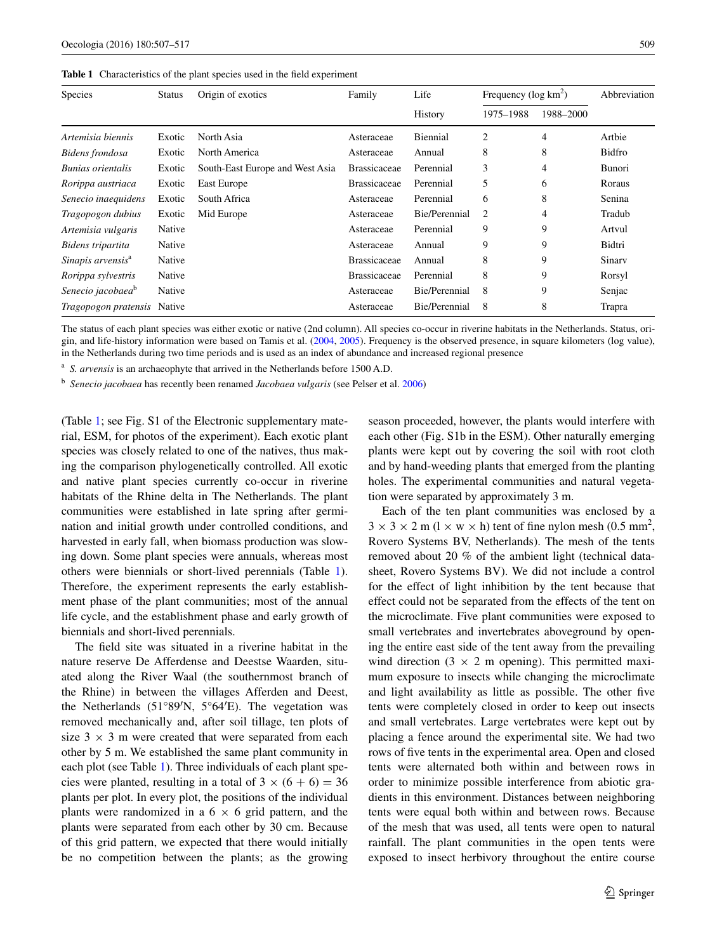<span id="page-3-0"></span>

| <b>Species</b>                     | <b>Status</b> | Origin of exotics               | Family              | Life          | Frequency ( $log km^2$ ) |                | Abbreviation |
|------------------------------------|---------------|---------------------------------|---------------------|---------------|--------------------------|----------------|--------------|
|                                    |               |                                 |                     | History       | 1975-1988                | 1988–2000      |              |
| Artemisia biennis                  | Exotic        | North Asia                      | Asteraceae          | Biennial      | 2                        | $\overline{4}$ | Artbie       |
| Bidens frondosa                    | Exotic        | North America                   | Asteraceae          | Annual        | 8                        | 8              | Bidfro       |
| Bunias orientalis                  | Exotic        | South-East Europe and West Asia | <b>Brassicaceae</b> | Perennial     | 3                        | 4              | Bunori       |
| Rorippa austriaca                  | Exotic        | East Europe                     | <b>Brassicaceae</b> | Perennial     | 5                        | 6              | Roraus       |
| Senecio inaequidens                | Exotic        | South Africa                    | Asteraceae          | Perennial     | 6                        | 8              | Senina       |
| Tragopogon dubius                  | Exotic        | Mid Europe                      | Asteraceae          | Bie/Perennial | 2                        | 4              | Tradub       |
| Artemisia vulgaris                 | Native        |                                 | Asteraceae          | Perennial     | 9                        | 9              | Artvul       |
| Bidens tripartita                  | Native        |                                 | Asteraceae          | Annual        | 9                        | 9              | Bidtri       |
| Sinapis arvensis <sup>a</sup>      | Native        |                                 | <b>Brassicaceae</b> | Annual        | 8                        | 9              | Sinary       |
| Rorippa sylvestris                 | Native        |                                 | <b>Brassicaceae</b> | Perennial     | 8                        | 9              | Rorsyl       |
| Senecio jacobaea <sup>b</sup>      | Native        |                                 | Asteraceae          | Bie/Perennial | 8                        | 9              | Senjac       |
| <i>Tragopogon pratensis</i> Native |               |                                 | Asteraceae          | Bie/Perennial | 8                        | 8              | Trapra       |

The status of each plant species was either exotic or native (2nd column). All species co-occur in riverine habitats in the Netherlands. Status, origin, and life-history information were based on Tamis et al. ([2004,](#page-11-5) [2005](#page-11-4)). Frequency is the observed presence, in square kilometers (log value), in the Netherlands during two time periods and is used as an index of abundance and increased regional presence

<sup>a</sup> *S. arvensis* is an archaeophyte that arrived in the Netherlands before 1500 A.D.

<sup>b</sup> *Senecio jacobaea* has recently been renamed *Jacobaea vulgaris* (see Pelser et al. [2006](#page-10-26))

(Table [1;](#page-3-0) see Fig. S1 of the Electronic supplementary material, ESM, for photos of the experiment). Each exotic plant species was closely related to one of the natives, thus making the comparison phylogenetically controlled. All exotic and native plant species currently co-occur in riverine habitats of the Rhine delta in The Netherlands. The plant communities were established in late spring after germination and initial growth under controlled conditions, and harvested in early fall, when biomass production was slowing down. Some plant species were annuals, whereas most others were biennials or short-lived perennials (Table [1](#page-3-0)). Therefore, the experiment represents the early establishment phase of the plant communities; most of the annual life cycle, and the establishment phase and early growth of biennials and short-lived perennials.

The field site was situated in a riverine habitat in the nature reserve De Afferdense and Deestse Waarden, situated along the River Waal (the southernmost branch of the Rhine) in between the villages Afferden and Deest, the Netherlands (51°89′N, 5°64′E). The vegetation was removed mechanically and, after soil tillage, ten plots of size  $3 \times 3$  m were created that were separated from each other by 5 m. We established the same plant community in each plot (see Table [1\)](#page-3-0). Three individuals of each plant species were planted, resulting in a total of  $3 \times (6 + 6) = 36$ plants per plot. In every plot, the positions of the individual plants were randomized in a  $6 \times 6$  grid pattern, and the plants were separated from each other by 30 cm. Because of this grid pattern, we expected that there would initially be no competition between the plants; as the growing

season proceeded, however, the plants would interfere with each other (Fig. S1b in the ESM). Other naturally emerging plants were kept out by covering the soil with root cloth and by hand-weeding plants that emerged from the planting holes. The experimental communities and natural vegetation were separated by approximately 3 m.

Each of the ten plant communities was enclosed by a  $3 \times 3 \times 2$  m ( $1 \times w \times h$ ) tent of fine nylon mesh (0.5 mm<sup>2</sup>, Rovero Systems BV, Netherlands). The mesh of the tents removed about 20 % of the ambient light (technical datasheet, Rovero Systems BV). We did not include a control for the effect of light inhibition by the tent because that effect could not be separated from the effects of the tent on the microclimate. Five plant communities were exposed to small vertebrates and invertebrates aboveground by opening the entire east side of the tent away from the prevailing wind direction  $(3 \times 2 \text{ m}$  opening). This permitted maximum exposure to insects while changing the microclimate and light availability as little as possible. The other five tents were completely closed in order to keep out insects and small vertebrates. Large vertebrates were kept out by placing a fence around the experimental site. We had two rows of five tents in the experimental area. Open and closed tents were alternated both within and between rows in order to minimize possible interference from abiotic gradients in this environment. Distances between neighboring tents were equal both within and between rows. Because of the mesh that was used, all tents were open to natural rainfall. The plant communities in the open tents were exposed to insect herbivory throughout the entire course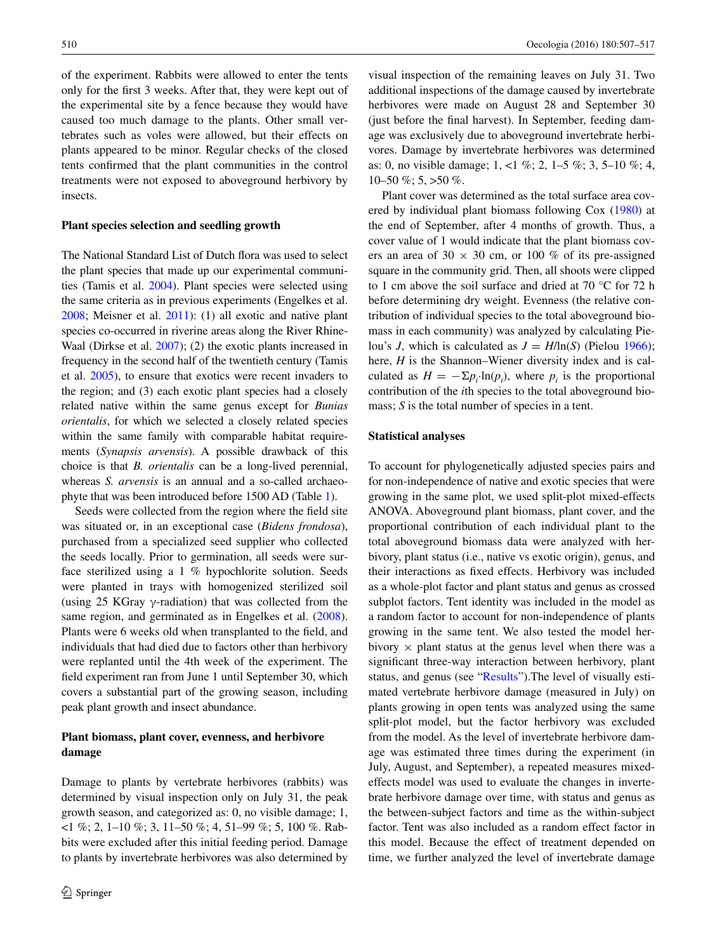of the experiment. Rabbits were allowed to enter the tents only for the first 3 weeks. After that, they were kept out of the experimental site by a fence because they would have caused too much damage to the plants. Other small vertebrates such as voles were allowed, but their effects on plants appeared to be minor. Regular checks of the closed tents confirmed that the plant communities in the control treatments were not exposed to aboveground herbivory by insects.

## **Plant species selection and seedling growth**

The National Standard List of Dutch flora was used to select the plant species that made up our experimental communities (Tamis et al. [2004](#page-11-5)). Plant species were selected using the same criteria as in previous experiments (Engelkes et al. [2008;](#page-9-8) Meisner et al. [2011](#page-10-27)): (1) all exotic and native plant species co-occurred in riverine areas along the River Rhine-Waal (Dirkse et al. [2007](#page-9-10)); (2) the exotic plants increased in frequency in the second half of the twentieth century (Tamis et al. [2005\)](#page-11-4), to ensure that exotics were recent invaders to the region; and (3) each exotic plant species had a closely related native within the same genus except for *Bunias orientalis*, for which we selected a closely related species within the same family with comparable habitat requirements (*Synapsis arvensis*). A possible drawback of this choice is that *B. orientalis* can be a long-lived perennial, whereas *S. arvensis* is an annual and a so-called archaeophyte that was been introduced before 1500 AD (Table [1\)](#page-3-0).

Seeds were collected from the region where the field site was situated or, in an exceptional case (*Bidens frondosa*), purchased from a specialized seed supplier who collected the seeds locally. Prior to germination, all seeds were surface sterilized using a 1 % hypochlorite solution. Seeds were planted in trays with homogenized sterilized soil (using 25 KGray  $\gamma$ -radiation) that was collected from the same region, and germinated as in Engelkes et al. [\(2008](#page-9-8)). Plants were 6 weeks old when transplanted to the field, and individuals that had died due to factors other than herbivory were replanted until the 4th week of the experiment. The field experiment ran from June 1 until September 30, which covers a substantial part of the growing season, including peak plant growth and insect abundance.

## **Plant biomass, plant cover, evenness, and herbivore damage**

Damage to plants by vertebrate herbivores (rabbits) was determined by visual inspection only on July 31, the peak growth season, and categorized as: 0, no visible damage; 1,  $1\%$ ; 2, 1–10 %; 3, 11–50 %; 4, 51–99 %; 5, 100 %. Rabbits were excluded after this initial feeding period. Damage to plants by invertebrate herbivores was also determined by visual inspection of the remaining leaves on July 31. Two additional inspections of the damage caused by invertebrate herbivores were made on August 28 and September 30 (just before the final harvest). In September, feeding damage was exclusively due to aboveground invertebrate herbivores. Damage by invertebrate herbivores was determined as: 0, no visible damage; 1, <1 %; 2, 1–5 %; 3, 5–10 %; 4,  $10-50\%$ ; 5, >50 %.

Plant cover was determined as the total surface area covered by individual plant biomass following Cox [\(1980](#page-9-11)) at the end of September, after 4 months of growth. Thus, a cover value of 1 would indicate that the plant biomass covers an area of  $30 \times 30$  cm, or 100 % of its pre-assigned square in the community grid. Then, all shoots were clipped to 1 cm above the soil surface and dried at 70 °C for 72 h before determining dry weight. Evenness (the relative contribution of individual species to the total aboveground biomass in each community) was analyzed by calculating Pielou's *J*, which is calculated as  $J = H/\ln(S)$  (Pielou [1966](#page-10-28)); here, *H* is the Shannon–Wiener diversity index and is calculated as  $H = -\sum p_i \ln(p_i)$ , where  $p_i$  is the proportional contribution of the *i*th species to the total aboveground biomass; *S* is the total number of species in a tent.

#### **Statistical analyses**

To account for phylogenetically adjusted species pairs and for non-independence of native and exotic species that were growing in the same plot, we used split-plot mixed-effects ANOVA. Aboveground plant biomass, plant cover, and the proportional contribution of each individual plant to the total aboveground biomass data were analyzed with herbivory, plant status (i.e., native vs exotic origin), genus, and their interactions as fixed effects. Herbivory was included as a whole-plot factor and plant status and genus as crossed subplot factors. Tent identity was included in the model as a random factor to account for non-independence of plants growing in the same tent. We also tested the model herbivory  $\times$  plant status at the genus level when there was a significant three-way interaction between herbivory, plant status, and genus (see ["Results"](#page-5-0)).The level of visually estimated vertebrate herbivore damage (measured in July) on plants growing in open tents was analyzed using the same split-plot model, but the factor herbivory was excluded from the model. As the level of invertebrate herbivore damage was estimated three times during the experiment (in July, August, and September), a repeated measures mixedeffects model was used to evaluate the changes in invertebrate herbivore damage over time, with status and genus as the between-subject factors and time as the within-subject factor. Tent was also included as a random effect factor in this model. Because the effect of treatment depended on time, we further analyzed the level of invertebrate damage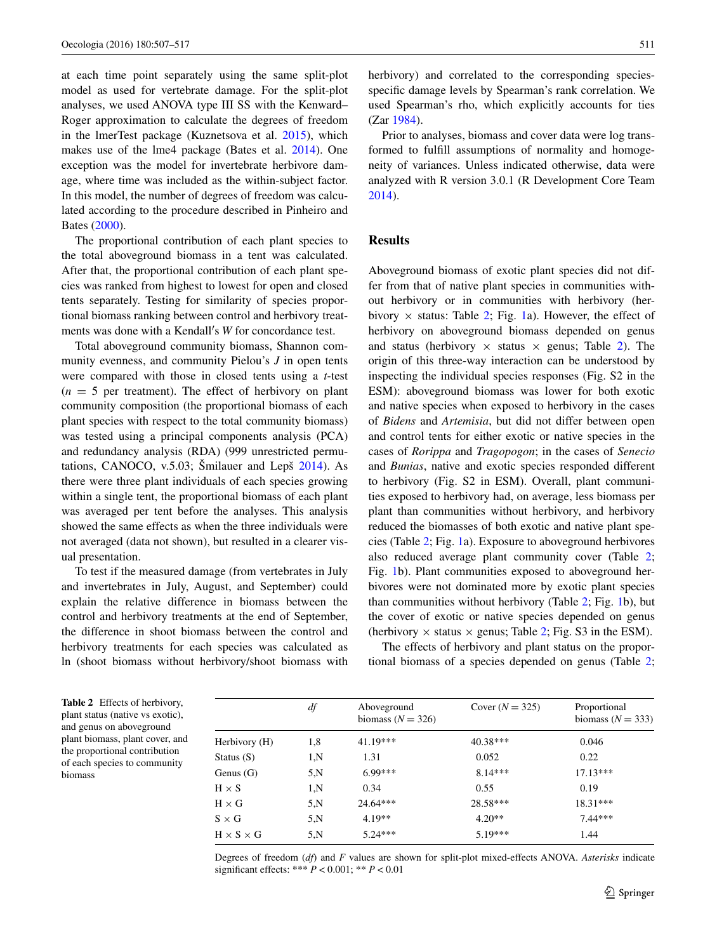at each time point separately using the same split-plot model as used for vertebrate damage. For the split-plot analyses, we used ANOVA type III SS with the Kenward– Roger approximation to calculate the degrees of freedom in the lmerTest package (Kuznetsova et al. [2015\)](#page-10-29), which makes use of the lme4 package (Bates et al. [2014\)](#page-9-12). One exception was the model for invertebrate herbivore damage, where time was included as the within-subject factor. In this model, the number of degrees of freedom was calculated according to the procedure described in Pinheiro and Bates [\(2000](#page-10-30)).

The proportional contribution of each plant species to the total aboveground biomass in a tent was calculated. After that, the proportional contribution of each plant species was ranked from highest to lowest for open and closed tents separately. Testing for similarity of species proportional biomass ranking between control and herbivory treatments was done with a Kendall′s *W* for concordance test.

Total aboveground community biomass, Shannon community evenness, and community Pielou's *J* in open tents were compared with those in closed tents using a *t*-test  $(n = 5$  per treatment). The effect of herbivory on plant community composition (the proportional biomass of each plant species with respect to the total community biomass) was tested using a principal components analysis (PCA) and redundancy analysis (RDA) (999 unrestricted permutations, CANOCO, v.5.03; Šmilauer and Lepš [2014](#page-10-31)). As there were three plant individuals of each species growing within a single tent, the proportional biomass of each plant was averaged per tent before the analyses. This analysis showed the same effects as when the three individuals were not averaged (data not shown), but resulted in a clearer visual presentation.

To test if the measured damage (from vertebrates in July and invertebrates in July, August, and September) could explain the relative difference in biomass between the control and herbivory treatments at the end of September, the difference in shoot biomass between the control and herbivory treatments for each species was calculated as ln (shoot biomass without herbivory/shoot biomass with herbivory) and correlated to the corresponding speciesspecific damage levels by Spearman's rank correlation. We used Spearman's rho, which explicitly accounts for ties (Zar [1984\)](#page-11-6).

Prior to analyses, biomass and cover data were log transformed to fulfill assumptions of normality and homogeneity of variances. Unless indicated otherwise, data were analyzed with R version 3.0.1 (R Development Core Team [2014](#page-10-32)).

## <span id="page-5-0"></span>**Results**

Aboveground biomass of exotic plant species did not differ from that of native plant species in communities without herbivory or in communities with herbivory (herbivory  $\times$  status: Table [2;](#page-5-1) Fig. [1a](#page-6-0)). However, the effect of herbivory on aboveground biomass depended on genus and status (herbivory  $\times$  status  $\times$  genus; Table [2\)](#page-5-1). The origin of this three-way interaction can be understood by inspecting the individual species responses (Fig. S2 in the ESM): aboveground biomass was lower for both exotic and native species when exposed to herbivory in the cases of *Bidens* and *Artemisia*, but did not differ between open and control tents for either exotic or native species in the cases of *Rorippa* and *Tragopogon*; in the cases of *Senecio* and *Bunias*, native and exotic species responded different to herbivory (Fig. S2 in ESM). Overall, plant communities exposed to herbivory had, on average, less biomass per plant than communities without herbivory, and herbivory reduced the biomasses of both exotic and native plant species (Table [2;](#page-5-1) Fig. [1](#page-6-0)a). Exposure to aboveground herbivores also reduced average plant community cover (Table [2](#page-5-1); Fig. [1b](#page-6-0)). Plant communities exposed to aboveground herbivores were not dominated more by exotic plant species than communities without herbivory (Table [2;](#page-5-1) Fig. [1b](#page-6-0)), but the cover of exotic or native species depended on genus (herbivory  $\times$  status  $\times$  genus; Table [2](#page-5-1); Fig. S3 in the ESM).

The effects of herbivory and plant status on the proportional biomass of a species depended on genus (Table [2](#page-5-1);

<span id="page-5-1"></span>**Table 2** Effects of herbivory, plant status (native vs exotic), and genus on aboveground plant biomass, plant cover, and the proportional contribution of each species to community biomass

|                       | df   | Aboveground<br>biomass $(N = 326)$ | Cover $(N = 325)$ | Proportional<br>biomass $(N = 333)$ |  |
|-----------------------|------|------------------------------------|-------------------|-------------------------------------|--|
| Herbivory (H)         | 1,8  | $41.19***$                         | $40.38***$        | 0.046                               |  |
| Status $(S)$          | 1, N | 1.31                               | 0.052             | 0.22                                |  |
| Genus $(G)$           | 5. N | $6.99***$                          | $8.14***$         | $17.13***$                          |  |
| $H \times S$          | 1, N | 0.34                               | 0.55              | 0.19                                |  |
| $H \times G$          | 5. N | $24.64***$                         | 28.58***          | $18.31***$                          |  |
| $S \times G$          | 5. N | $4.19**$                           | $4.20**$          | $7.44***$                           |  |
| $H \times S \times G$ | 5. N | $5.24***$                          | $5.19***$         | 1.44                                |  |

Degrees of freedom (*df*) and *F* values are shown for split-plot mixed-effects ANOVA. *Asterisks* indicate significant effects: \*\*\* *P* < 0.001; \*\* *P* < 0.01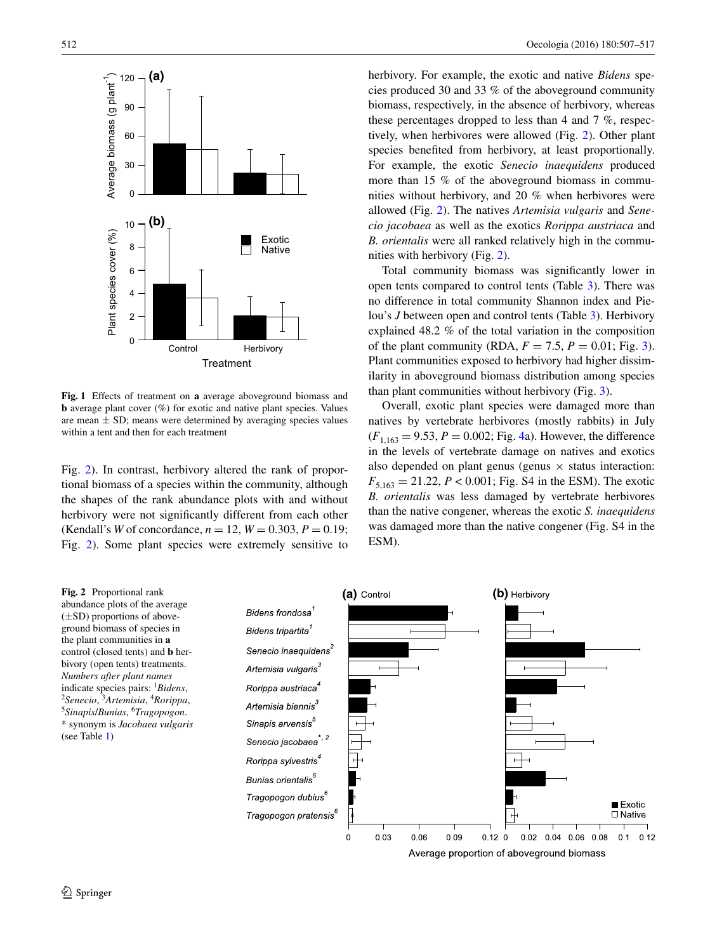

<span id="page-6-0"></span>**Fig. 1** Effects of treatment on **a** average aboveground biomass and **b** average plant cover  $(\%)$  for exotic and native plant species. Values are mean  $\pm$  SD; means were determined by averaging species values within a tent and then for each treatment

Fig. [2\)](#page-6-1). In contrast, herbivory altered the rank of proportional biomass of a species within the community, although the shapes of the rank abundance plots with and without herbivory were not significantly different from each other (Kendall's *W* of concordance,  $n = 12$ ,  $W = 0.303$ ,  $P = 0.19$ ; Fig. [2\)](#page-6-1). Some plant species were extremely sensitive to herbivory. For example, the exotic and native *Bidens* species produced 30 and 33 % of the aboveground community biomass, respectively, in the absence of herbivory, whereas these percentages dropped to less than 4 and 7 %, respectively, when herbivores were allowed (Fig. [2\)](#page-6-1). Other plant species benefited from herbivory, at least proportionally. For example, the exotic *Senecio inaequidens* produced more than 15 % of the aboveground biomass in communities without herbivory, and 20 % when herbivores were allowed (Fig. [2\)](#page-6-1). The natives *Artemisia vulgaris* and *Senecio jacobaea* as well as the exotics *Rorippa austriaca* and *B. orientalis* were all ranked relatively high in the communities with herbivory (Fig. [2](#page-6-1)).

Total community biomass was significantly lower in open tents compared to control tents (Table [3](#page-7-0)). There was no difference in total community Shannon index and Pielou's *J* between open and control tents (Table [3](#page-7-0)). Herbivory explained 48.2 % of the total variation in the composition of the plant community (RDA,  $F = 7.5$ ,  $P = 0.01$ ; Fig. [3](#page-7-1)). Plant communities exposed to herbivory had higher dissimilarity in aboveground biomass distribution among species than plant communities without herbivory (Fig. [3](#page-7-1)).

Overall, exotic plant species were damaged more than natives by vertebrate herbivores (mostly rabbits) in July  $(F_{1,163} = 9.53, P = 0.002; Fig. 4a)$  $(F_{1,163} = 9.53, P = 0.002; Fig. 4a)$  $(F_{1,163} = 9.53, P = 0.002; Fig. 4a)$ . However, the difference in the levels of vertebrate damage on natives and exotics also depended on plant genus (genus  $\times$  status interaction:  $F_{5,163} = 21.22, P < 0.001$ ; Fig. S4 in the ESM). The exotic *B. orientalis* was less damaged by vertebrate herbivores than the native congener, whereas the exotic *S. inaequidens* was damaged more than the native congener (Fig. S4 in the ESM).

<span id="page-6-1"></span>**Fig. 2** Proportional rank abundance plots of the average  $(\pm SD)$  proportions of aboveground biomass of species in the plant communities in **a** control (closed tents) and **b** herbivory (open tents) treatments. *Numbers after plant names* indicate species pairs: <sup>1</sup>Bidens,<br><sup>2</sup>Senecie, <sup>3</sup>Artemisia, <sup>4</sup>Borinna <sup>2</sup> Senecio, <sup>3</sup> Artemisia, <sup>4</sup> Rorippa,<br><sup>5</sup> Singpic/Punias, <sup>6</sup> Tragonogon *Sinapis*/*Bunias*, 6 *Tragopogon*. \* synonym is *Jacobaea vulgaris* (see Table [1\)](#page-3-0)

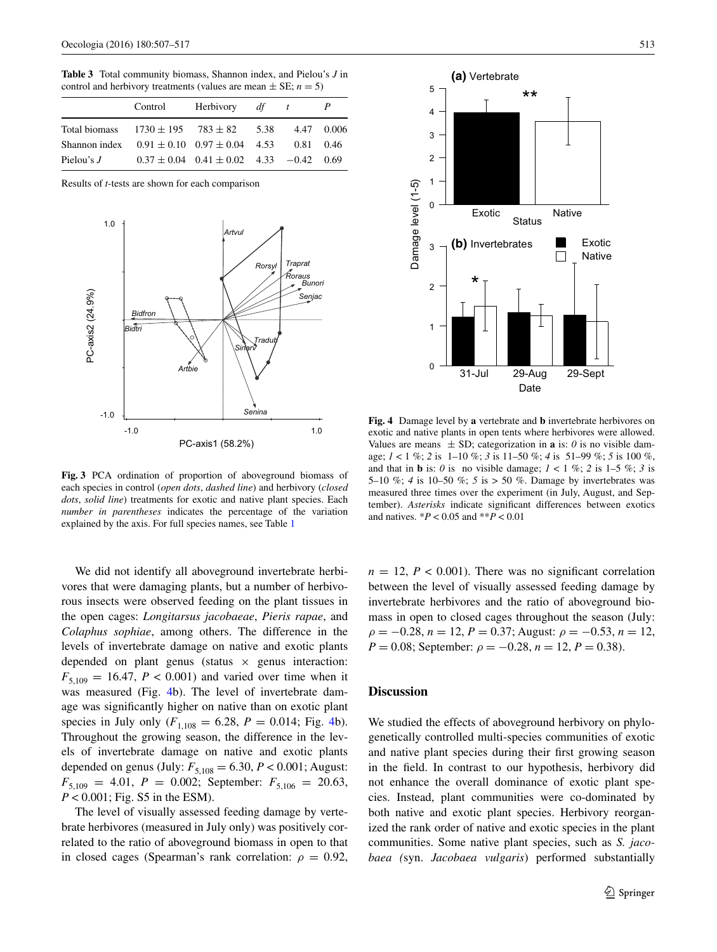<span id="page-7-0"></span>**Table 3** Total community biomass, Shannon index, and Pielou's *J* in control and herbivory treatments (values are mean  $\pm$  SE; *n* = 5)

|                                                               | Control | Herbivory $df = t$                                  |  |                   |
|---------------------------------------------------------------|---------|-----------------------------------------------------|--|-------------------|
|                                                               |         |                                                     |  |                   |
| Total biomass $1730 \pm 195$ $783 \pm 82$ $5.38$ $4.47$ 0.006 |         |                                                     |  |                   |
| Shannon index $0.91 \pm 0.10$ $0.97 \pm 0.04$ 4.53            |         |                                                     |  | $0.81 \quad 0.46$ |
| Pielou's $J$                                                  |         | $0.37 \pm 0.04$ $0.41 \pm 0.02$ $4.33$ $-0.42$ 0.69 |  |                   |

Results of *t*-tests are shown for each comparison



<span id="page-7-1"></span>**Fig. 3** PCA ordination of proportion of aboveground biomass of each species in control (*open dots*, *dashed line*) and herbivory (*closed dots*, *solid line*) treatments for exotic and native plant species. Each *number in parentheses* indicates the percentage of the variation explained by the axis. For full species names, see Table [1](#page-3-0)

We did not identify all aboveground invertebrate herbivores that were damaging plants, but a number of herbivorous insects were observed feeding on the plant tissues in the open cages: *Longitarsus jacobaeae*, *Pieris rapae*, and *Colaphus sophiae*, among others. The difference in the levels of invertebrate damage on native and exotic plants depended on plant genus (status  $\times$  genus interaction:  $F_{5,109} = 16.47, P < 0.001$  and varied over time when it was measured (Fig. [4b](#page-7-2)). The level of invertebrate damage was significantly higher on native than on exotic plant species in July only  $(F_{1,108} = 6.28, P = 0.014;$  $(F_{1,108} = 6.28, P = 0.014;$  $(F_{1,108} = 6.28, P = 0.014;$  Fig. 4b). Throughout the growing season, the difference in the levels of invertebrate damage on native and exotic plants depended on genus (July:  $F_{5,108} = 6.30, P < 0.001$ ; August:  $F_{5,109} = 4.01$ ,  $P = 0.002$ ; September:  $F_{5,106} = 20.63$ , *P* < 0.001; Fig. S5 in the ESM).

The level of visually assessed feeding damage by vertebrate herbivores (measured in July only) was positively correlated to the ratio of aboveground biomass in open to that in closed cages (Spearman's rank correlation:  $\rho = 0.92$ ,



<span id="page-7-2"></span>**Fig. 4** Damage level by **a** vertebrate and **b** invertebrate herbivores on exotic and native plants in open tents where herbivores were allowed. Values are means  $\pm$  SD; categorization in **a** is: 0 is no visible damage; *1* < 1 %; *2* is 1–10 %; *3* is 11–50 %; *4* is 51–99 %; *5* is 100 %, and that in **b** is: 0 is no visible damage;  $1 < 1\%$ ; 2 is 1–5 %; 3 is 5–10 %; *4* is 10–50 %; *5* is > 50 %. Damage by invertebrates was measured three times over the experiment (in July, August, and September). *Asterisks* indicate significant differences between exotics and natives. \**P* < 0.05 and \*\**P* < 0.01

 $n = 12$ ,  $P < 0.001$ ). There was no significant correlation between the level of visually assessed feeding damage by invertebrate herbivores and the ratio of aboveground biomass in open to closed cages throughout the season (July:  $\rho = -0.28$ ,  $n = 12$ ,  $P = 0.37$ ; August:  $\rho = -0.53$ ,  $n = 12$ , *P* = 0.08; September:  $\rho = -0.28$ ,  $n = 12$ ,  $P = 0.38$ ).

### **Discussion**

We studied the effects of aboveground herbivory on phylogenetically controlled multi-species communities of exotic and native plant species during their first growing season in the field. In contrast to our hypothesis, herbivory did not enhance the overall dominance of exotic plant species. Instead, plant communities were co-dominated by both native and exotic plant species. Herbivory reorganized the rank order of native and exotic species in the plant communities. Some native plant species, such as *S. jacobaea (*syn. *Jacobaea vulgaris*) performed substantially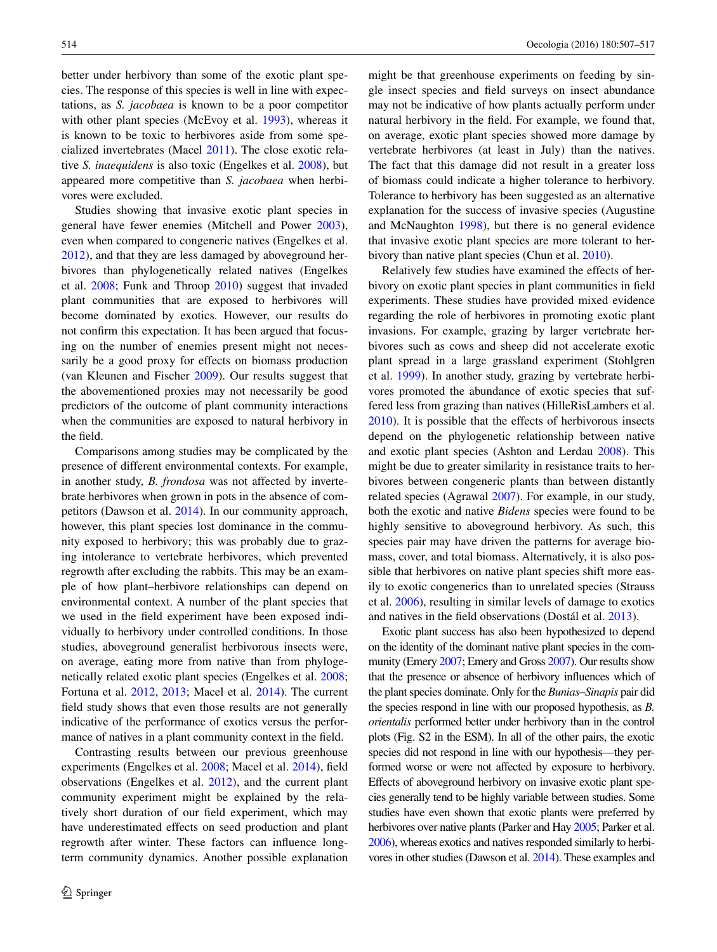better under herbivory than some of the exotic plant species. The response of this species is well in line with expectations, as *S. jacobaea* is known to be a poor competitor with other plant species (McEvoy et al. [1993\)](#page-10-33), whereas it is known to be toxic to herbivores aside from some specialized invertebrates (Macel [2011](#page-10-34)). The close exotic relative *S. inaequidens* is also toxic (Engelkes et al. [2008\)](#page-9-8), but appeared more competitive than *S. jacobaea* when herbivores were excluded.

Studies showing that invasive exotic plant species in general have fewer enemies (Mitchell and Power [2003](#page-10-7)), even when compared to congeneric natives (Engelkes et al. [2012](#page-9-9)), and that they are less damaged by aboveground herbivores than phylogenetically related natives (Engelkes et al. [2008;](#page-9-8) Funk and Throop [2010](#page-10-21)) suggest that invaded plant communities that are exposed to herbivores will become dominated by exotics. However, our results do not confirm this expectation. It has been argued that focusing on the number of enemies present might not necessarily be a good proxy for effects on biomass production (van Kleunen and Fischer [2009](#page-11-2)). Our results suggest that the abovementioned proxies may not necessarily be good predictors of the outcome of plant community interactions when the communities are exposed to natural herbivory in the field.

Comparisons among studies may be complicated by the presence of different environmental contexts. For example, in another study, *B. frondosa* was not affected by invertebrate herbivores when grown in pots in the absence of competitors (Dawson et al. [2014](#page-9-3)). In our community approach, however, this plant species lost dominance in the community exposed to herbivory; this was probably due to grazing intolerance to vertebrate herbivores, which prevented regrowth after excluding the rabbits. This may be an example of how plant–herbivore relationships can depend on environmental context. A number of the plant species that we used in the field experiment have been exposed individually to herbivory under controlled conditions. In those studies, aboveground generalist herbivorous insects were, on average, eating more from native than from phylogenetically related exotic plant species (Engelkes et al. [2008](#page-9-8); Fortuna et al. [2012,](#page-10-35) [2013;](#page-10-36) Macel et al. [2014\)](#page-10-24). The current field study shows that even those results are not generally indicative of the performance of exotics versus the performance of natives in a plant community context in the field.

Contrasting results between our previous greenhouse experiments (Engelkes et al. [2008](#page-9-8); Macel et al. [2014\)](#page-10-24), field observations (Engelkes et al. [2012](#page-9-9)), and the current plant community experiment might be explained by the relatively short duration of our field experiment, which may have underestimated effects on seed production and plant regrowth after winter. These factors can influence longterm community dynamics. Another possible explanation might be that greenhouse experiments on feeding by single insect species and field surveys on insect abundance may not be indicative of how plants actually perform under natural herbivory in the field. For example, we found that, on average, exotic plant species showed more damage by vertebrate herbivores (at least in July) than the natives. The fact that this damage did not result in a greater loss of biomass could indicate a higher tolerance to herbivory. Tolerance to herbivory has been suggested as an alternative explanation for the success of invasive species (Augustine and McNaughton [1998](#page-9-13)), but there is no general evidence that invasive exotic plant species are more tolerant to herbivory than native plant species (Chun et al. [2010\)](#page-9-14).

Relatively few studies have examined the effects of herbivory on exotic plant species in plant communities in field experiments. These studies have provided mixed evidence regarding the role of herbivores in promoting exotic plant invasions. For example, grazing by larger vertebrate herbivores such as cows and sheep did not accelerate exotic plant spread in a large grassland experiment (Stohlgren et al. [1999\)](#page-10-12). In another study, grazing by vertebrate herbivores promoted the abundance of exotic species that suffered less from grazing than natives (HilleRisLambers et al. [2010](#page-10-37)). It is possible that the effects of herbivorous insects depend on the phylogenetic relationship between native and exotic plant species (Ashton and Lerdau [2008\)](#page-9-15). This might be due to greater similarity in resistance traits to herbivores between congeneric plants than between distantly related species (Agrawal [2007\)](#page-9-16). For example, in our study, both the exotic and native *Bidens* species were found to be highly sensitive to aboveground herbivory. As such, this species pair may have driven the patterns for average biomass, cover, and total biomass. Alternatively, it is also possible that herbivores on native plant species shift more easily to exotic congenerics than to unrelated species (Strauss et al. [2006](#page-10-25)), resulting in similar levels of damage to exotics and natives in the field observations (Dostál et al. [2013](#page-9-17)).

Exotic plant success has also been hypothesized to depend on the identity of the dominant native plant species in the community (Emery [2007;](#page-9-18) Emery and Gross [2007](#page-9-19)). Our results show that the presence or absence of herbivory influences which of the plant species dominate. Only for the *Bunias*–*Sinapis* pair did the species respond in line with our proposed hypothesis, as *B. orientalis* performed better under herbivory than in the control plots (Fig. S2 in the ESM). In all of the other pairs, the exotic species did not respond in line with our hypothesis—they performed worse or were not affected by exposure to herbivory. Effects of aboveground herbivory on invasive exotic plant species generally tend to be highly variable between studies. Some studies have even shown that exotic plants were preferred by herbivores over native plants (Parker and Hay [2005;](#page-10-4) Parker et al. [2006\)](#page-10-38), whereas exotics and natives responded similarly to herbivores in other studies (Dawson et al. [2014](#page-9-3)). These examples and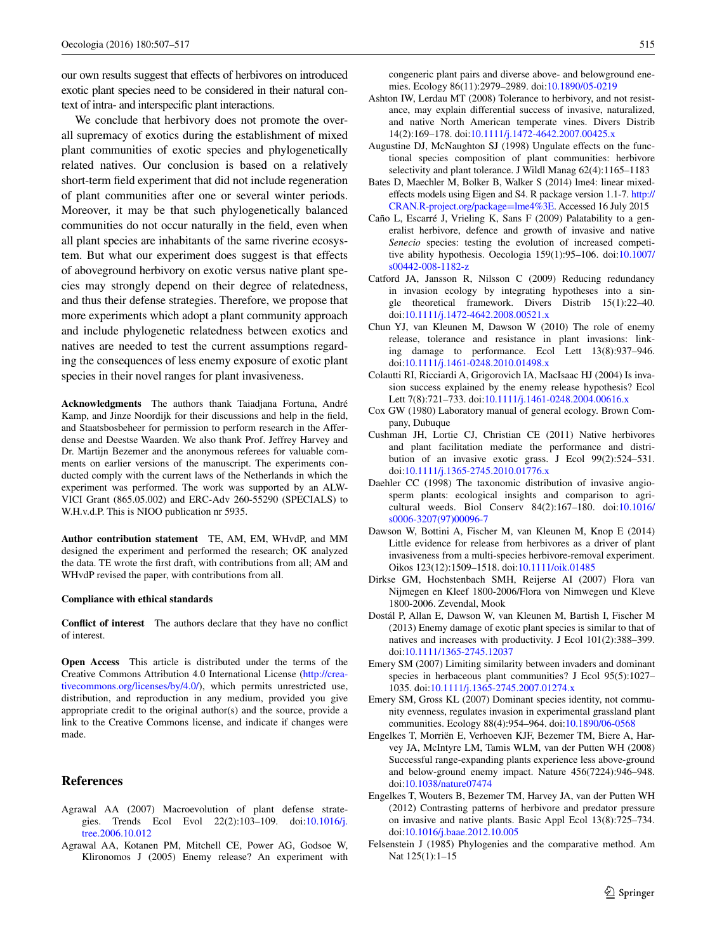our own results suggest that effects of herbivores on introduced exotic plant species need to be considered in their natural context of intra- and interspecific plant interactions.

We conclude that herbivory does not promote the overall supremacy of exotics during the establishment of mixed plant communities of exotic species and phylogenetically related natives. Our conclusion is based on a relatively short-term field experiment that did not include regeneration of plant communities after one or several winter periods. Moreover, it may be that such phylogenetically balanced communities do not occur naturally in the field, even when all plant species are inhabitants of the same riverine ecosystem. But what our experiment does suggest is that effects of aboveground herbivory on exotic versus native plant species may strongly depend on their degree of relatedness, and thus their defense strategies. Therefore, we propose that more experiments which adopt a plant community approach and include phylogenetic relatedness between exotics and natives are needed to test the current assumptions regarding the consequences of less enemy exposure of exotic plant species in their novel ranges for plant invasiveness.

**Acknowledgments** The authors thank Taiadjana Fortuna, André Kamp, and Jinze Noordijk for their discussions and help in the field, and Staatsbosbeheer for permission to perform research in the Afferdense and Deestse Waarden. We also thank Prof. Jeffrey Harvey and Dr. Martijn Bezemer and the anonymous referees for valuable comments on earlier versions of the manuscript. The experiments conducted comply with the current laws of the Netherlands in which the experiment was performed. The work was supported by an ALW-VICI Grant (865.05.002) and ERC-Adv 260-55290 (SPECIALS) to W.H.v.d.P. This is NIOO publication nr 5935.

**Author contribution statement** TE, AM, EM, WHvdP, and MM designed the experiment and performed the research; OK analyzed the data. TE wrote the first draft, with contributions from all; AM and WHvdP revised the paper, with contributions from all.

#### **Compliance with ethical standards**

**Conflict of interest** The authors declare that they have no conflict of interest.

**Open Access** This article is distributed under the terms of the Creative Commons Attribution 4.0 International License ([http://crea](http://creativecommons.org/licenses/by/4.0/)[tivecommons.org/licenses/by/4.0/](http://creativecommons.org/licenses/by/4.0/)), which permits unrestricted use, distribution, and reproduction in any medium, provided you give appropriate credit to the original author(s) and the source, provide a link to the Creative Commons license, and indicate if changes were made.

#### **References**

- <span id="page-9-16"></span>Agrawal AA (2007) Macroevolution of plant defense strategies. Trends Ecol Evol 22(2):103–109. doi[:10.1016/j.](http://dx.doi.org/10.1016/j.tree.2006.10.012) [tree.2006.10.012](http://dx.doi.org/10.1016/j.tree.2006.10.012)
- <span id="page-9-2"></span>Agrawal AA, Kotanen PM, Mitchell CE, Power AG, Godsoe W, Klironomos J (2005) Enemy release? An experiment with

congeneric plant pairs and diverse above- and belowground enemies. Ecology 86(11):2979–2989. doi:[10.1890/05-0219](http://dx.doi.org/10.1890/05-0219)

- <span id="page-9-15"></span>Ashton IW, Lerdau MT (2008) Tolerance to herbivory, and not resistance, may explain differential success of invasive, naturalized, and native North American temperate vines. Divers Distrib 14(2):169–178. doi[:10.1111/j.1472-4642.2007.00425.x](http://dx.doi.org/10.1111/j.1472-4642.2007.00425.x)
- <span id="page-9-13"></span>Augustine DJ, McNaughton SJ (1998) Ungulate effects on the functional species composition of plant communities: herbivore selectivity and plant tolerance. J Wildl Manag 62(4):1165–1183
- <span id="page-9-12"></span>Bates D, Maechler M, Bolker B, Walker S (2014) lme4: linear mixedeffects models using Eigen and S4. R package version 1.1-7. [http://](http://CRAN.R-project.org/package%3dlme4%253E) [CRAN.R-project.org/package](http://CRAN.R-project.org/package%3dlme4%253E)=lme4%3E. Accessed 16 July 2015
- <span id="page-9-5"></span>Caño L, Escarré J, Vrieling K, Sans F (2009) Palatability to a generalist herbivore, defence and growth of invasive and native *Senecio* species: testing the evolution of increased competitive ability hypothesis. Oecologia 159(1):95–106. doi[:10.1007/](http://dx.doi.org/10.1007/s00442-008-1182-z) [s00442-008-1182-z](http://dx.doi.org/10.1007/s00442-008-1182-z)
- <span id="page-9-1"></span>Catford JA, Jansson R, Nilsson C (2009) Reducing redundancy in invasion ecology by integrating hypotheses into a single theoretical framework. Divers Distrib 15(1):22–40. doi[:10.1111/j.1472-4642.2008.00521.x](http://dx.doi.org/10.1111/j.1472-4642.2008.00521.x)
- <span id="page-9-14"></span>Chun YJ, van Kleunen M, Dawson W (2010) The role of enemy release, tolerance and resistance in plant invasions: linking damage to performance. Ecol Lett 13(8):937–946. doi[:10.1111/j.1461-0248.2010.01498.x](http://dx.doi.org/10.1111/j.1461-0248.2010.01498.x)
- <span id="page-9-0"></span>Colautti RI, Ricciardi A, Grigorovich IA, MacIsaac HJ (2004) Is invasion success explained by the enemy release hypothesis? Ecol Lett 7(8):721–733. doi:[10.1111/j.1461-0248.2004.00616.x](http://dx.doi.org/10.1111/j.1461-0248.2004.00616.x)
- <span id="page-9-11"></span>Cox GW (1980) Laboratory manual of general ecology. Brown Company, Dubuque
- <span id="page-9-7"></span>Cushman JH, Lortie CJ, Christian CE (2011) Native herbivores and plant facilitation mediate the performance and distribution of an invasive exotic grass. J Ecol 99(2):524–531. doi[:10.1111/j.1365-2745.2010.01776.x](http://dx.doi.org/10.1111/j.1365-2745.2010.01776.x)
- <span id="page-9-4"></span>Daehler CC (1998) The taxonomic distribution of invasive angiosperm plants: ecological insights and comparison to agricultural weeds. Biol Conserv 84(2):167–180. doi[:10.1016/](http://dx.doi.org/10.1016/s0006-3207(97)00096-7) [s0006-3207\(97\)00096-7](http://dx.doi.org/10.1016/s0006-3207(97)00096-7)
- <span id="page-9-3"></span>Dawson W, Bottini A, Fischer M, van Kleunen M, Knop E (2014) Little evidence for release from herbivores as a driver of plant invasiveness from a multi-species herbivore-removal experiment. Oikos 123(12):1509–1518. doi[:10.1111/oik.01485](http://dx.doi.org/10.1111/oik.01485)
- <span id="page-9-10"></span>Dirkse GM, Hochstenbach SMH, Reijerse AI (2007) Flora van Nijmegen en Kleef 1800-2006/Flora von Nimwegen und Kleve 1800-2006. Zevendal, Mook
- <span id="page-9-17"></span>Dostál P, Allan E, Dawson W, van Kleunen M, Bartish I, Fischer M (2013) Enemy damage of exotic plant species is similar to that of natives and increases with productivity. J Ecol 101(2):388–399. doi[:10.1111/1365-2745.12037](http://dx.doi.org/10.1111/1365-2745.12037)
- <span id="page-9-18"></span>Emery SM (2007) Limiting similarity between invaders and dominant species in herbaceous plant communities? J Ecol 95(5):1027-1035. doi:[10.1111/j.1365-2745.2007.01274.x](http://dx.doi.org/10.1111/j.1365-2745.2007.01274.x)
- <span id="page-9-19"></span>Emery SM, Gross KL (2007) Dominant species identity, not community evenness, regulates invasion in experimental grassland plant communities. Ecology 88(4):954–964. doi:[10.1890/06-0568](http://dx.doi.org/10.1890/06-0568)
- <span id="page-9-8"></span>Engelkes T, Morriën E, Verhoeven KJF, Bezemer TM, Biere A, Harvey JA, McIntyre LM, Tamis WLM, van der Putten WH (2008) Successful range-expanding plants experience less above-ground and below-ground enemy impact. Nature 456(7224):946–948. doi[:10.1038/nature07474](http://dx.doi.org/10.1038/nature07474)
- <span id="page-9-9"></span>Engelkes T, Wouters B, Bezemer TM, Harvey JA, van der Putten WH (2012) Contrasting patterns of herbivore and predator pressure on invasive and native plants. Basic Appl Ecol 13(8):725–734. doi[:10.1016/j.baae.2012.10.005](http://dx.doi.org/10.1016/j.baae.2012.10.005)
- <span id="page-9-6"></span>Felsenstein J (1985) Phylogenies and the comparative method. Am Nat 125(1):1–15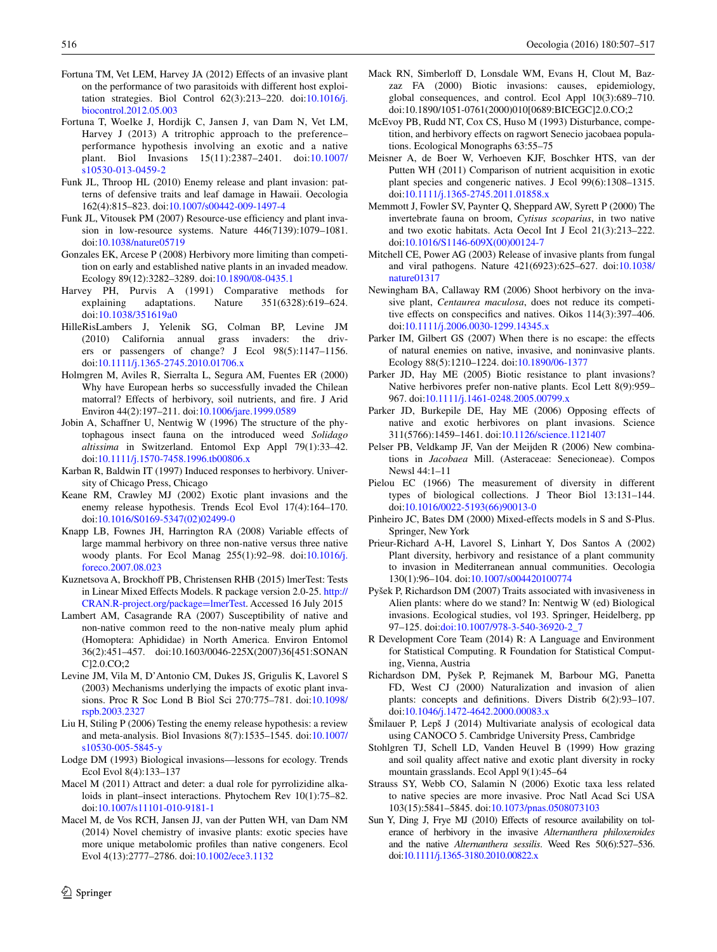- <span id="page-10-35"></span>Fortuna TM, Vet LEM, Harvey JA (2012) Effects of an invasive plant on the performance of two parasitoids with different host exploitation strategies. Biol Control 62(3):213–220. doi:[10.1016/j.](http://dx.doi.org/10.1016/j.biocontrol.2012.05.003) [biocontrol.2012.05.003](http://dx.doi.org/10.1016/j.biocontrol.2012.05.003)
- <span id="page-10-36"></span>Fortuna T, Woelke J, Hordijk C, Jansen J, van Dam N, Vet LM, Harvey J (2013) A tritrophic approach to the preference– performance hypothesis involving an exotic and a native plant. Biol Invasions 15(11):2387–2401. doi:[10.1007/](http://dx.doi.org/10.1007/s10530-013-0459-2) [s10530-013-0459-2](http://dx.doi.org/10.1007/s10530-013-0459-2)
- <span id="page-10-21"></span>Funk JL, Throop HL (2010) Enemy release and plant invasion: patterns of defensive traits and leaf damage in Hawaii. Oecologia 162(4):815–823. doi[:10.1007/s00442-009-1497-4](http://dx.doi.org/10.1007/s00442-009-1497-4)
- <span id="page-10-20"></span>Funk JL, Vitousek PM (2007) Resource-use efficiency and plant invasion in low-resource systems. Nature 446(7139):1079–1081. doi[:10.1038/nature05719](http://dx.doi.org/10.1038/nature05719)
- <span id="page-10-6"></span>Gonzales EK, Arcese P (2008) Herbivory more limiting than competition on early and established native plants in an invaded meadow. Ecology 89(12):3282–3289. doi[:10.1890/08-0435.1](http://dx.doi.org/10.1890/08-0435.1)
- <span id="page-10-22"></span>Harvey PH, Purvis A (1991) Comparative methods for explaining adaptations. Nature 351(6328):619–624. doi:[10.1038/351619a0](http://dx.doi.org/10.1038/351619a0)
- <span id="page-10-37"></span>HilleRisLambers J, Yelenik SG, Colman BP, Levine JM (2010) California annual grass invaders: the drivers or passengers of change? J Ecol 98(5):1147–1156. doi[:10.1111/j.1365-2745.2010.01706.x](http://dx.doi.org/10.1111/j.1365-2745.2010.01706.x)
- <span id="page-10-13"></span>Holmgren M, Aviles R, Sierralta L, Segura AM, Fuentes ER (2000) Why have European herbs so successfully invaded the Chilean matorral? Effects of herbivory, soil nutrients, and fire. J Arid Environ 44(2):197–211. doi[:10.1006/jare.1999.0589](http://dx.doi.org/10.1006/jare.1999.0589)
- <span id="page-10-8"></span>Jobin A, Schaffner U, Nentwig W (1996) The structure of the phytophagous insect fauna on the introduced weed *Solidago altissima* in Switzerland. Entomol Exp Appl 79(1):33–42. doi[:10.1111/j.1570-7458.1996.tb00806.x](http://dx.doi.org/10.1111/j.1570-7458.1996.tb00806.x)
- <span id="page-10-16"></span>Karban R, Baldwin IT (1997) Induced responses to herbivory. University of Chicago Press, Chicago
- <span id="page-10-3"></span>Keane RM, Crawley MJ (2002) Exotic plant invasions and the enemy release hypothesis. Trends Ecol Evol 17(4):164–170. doi[:10.1016/S0169-5347\(02\)02499-0](http://dx.doi.org/10.1016/S0169-5347(02)02499-0)
- <span id="page-10-17"></span>Knapp LB, Fownes JH, Harrington RA (2008) Variable effects of large mammal herbivory on three non-native versus three native woody plants. For Ecol Manag 255(1):92–98. doi:[10.1016/j.](http://dx.doi.org/10.1016/j.foreco.2007.08.023) [foreco.2007.08.023](http://dx.doi.org/10.1016/j.foreco.2007.08.023)
- <span id="page-10-29"></span>Kuznetsova A, Brockhoff PB, Christensen RHB (2015) lmerTest: Tests in Linear Mixed Effects Models. R package version 2.0-25. [http://](http://CRAN.R-project.org/package%3dlmerTest) [CRAN.R-project.org/package](http://CRAN.R-project.org/package%3dlmerTest)=lmerTest. Accessed 16 July 2015
- <span id="page-10-18"></span>Lambert AM, Casagrande RA (2007) Susceptibility of native and non-native common reed to the non-native mealy plum aphid (Homoptera: Aphididae) in North America. Environ Entomol 36(2):451–457. doi:10.1603/0046-225X(2007)36[451:SONAN C]2.0.CO;2
- <span id="page-10-10"></span>Levine JM, Vila M, D'Antonio CM, Dukes JS, Grigulis K, Lavorel S (2003) Mechanisms underlying the impacts of exotic plant invasions. Proc R Soc Lond B Biol Sci 270:775–781. doi[:10.1098/](http://dx.doi.org/10.1098/rspb.2003.2327) [rspb.2003.2327](http://dx.doi.org/10.1098/rspb.2003.2327)
- <span id="page-10-11"></span>Liu H, Stiling P (2006) Testing the enemy release hypothesis: a review and meta-analysis. Biol Invasions 8(7):1535–1545. doi[:10.1007/](http://dx.doi.org/10.1007/s10530-005-5845-y) [s10530-005-5845-y](http://dx.doi.org/10.1007/s10530-005-5845-y)
- <span id="page-10-0"></span>Lodge DM (1993) Biological invasions—lessons for ecology. Trends Ecol Evol 8(4):133–137
- <span id="page-10-34"></span>Macel M (2011) Attract and deter: a dual role for pyrrolizidine alkaloids in plant–insect interactions. Phytochem Rev 10(1):75–82. doi[:10.1007/s11101-010-9181-1](http://dx.doi.org/10.1007/s11101-010-9181-1)
- <span id="page-10-24"></span>Macel M, de Vos RCH, Jansen JJ, van der Putten WH, van Dam NM (2014) Novel chemistry of invasive plants: exotic species have more unique metabolomic profiles than native congeners. Ecol Evol 4(13):2777–2786. doi:[10.1002/ece3.1132](http://dx.doi.org/10.1002/ece3.1132)
- <span id="page-10-1"></span>Mack RN, Simberloff D, Lonsdale WM, Evans H, Clout M, Bazzaz FA (2000) Biotic invasions: causes, epidemiology, global consequences, and control. Ecol Appl 10(3):689–710. doi:10.1890/1051-0761(2000)010[0689:BICEGC]2.0.CO;2
- <span id="page-10-33"></span>McEvoy PB, Rudd NT, Cox CS, Huso M (1993) Disturbance, competition, and herbivory effects on ragwort Senecio jacobaea populations. Ecological Monographs 63:55–75
- <span id="page-10-27"></span>Meisner A, de Boer W, Verhoeven KJF, Boschker HTS, van der Putten WH (2011) Comparison of nutrient acquisition in exotic plant species and congeneric natives. J Ecol 99(6):1308–1315. doi[:10.1111/j.1365-2745.2011.01858.x](http://dx.doi.org/10.1111/j.1365-2745.2011.01858.x)
- <span id="page-10-9"></span>Memmott J, Fowler SV, Paynter Q, Sheppard AW, Syrett P (2000) The invertebrate fauna on broom, *Cytisus scoparius*, in two native and two exotic habitats. Acta Oecol Int J Ecol 21(3):213–222. doi[:10.1016/S1146-609X\(00\)00124-7](http://dx.doi.org/10.1016/S1146-609X(00)00124-7)
- <span id="page-10-7"></span>Mitchell CE, Power AG (2003) Release of invasive plants from fungal and viral pathogens. Nature 421(6923):625–627. doi[:10.1038/](http://dx.doi.org/10.1038/nature01317) [nature01317](http://dx.doi.org/10.1038/nature01317)
- <span id="page-10-5"></span>Newingham BA, Callaway RM (2006) Shoot herbivory on the invasive plant, *Centaurea maculosa*, does not reduce its competitive effects on conspecifics and natives. Oikos 114(3):397–406. doi[:10.1111/j.2006.0030-1299.14345.x](http://dx.doi.org/10.1111/j.2006.0030-1299.14345.x)
- <span id="page-10-14"></span>Parker IM, Gilbert GS (2007) When there is no escape: the effects of natural enemies on native, invasive, and noninvasive plants. Ecology 88(5):1210–1224. doi[:10.1890/06-1377](http://dx.doi.org/10.1890/06-1377)
- <span id="page-10-4"></span>Parker JD, Hay ME (2005) Biotic resistance to plant invasions? Native herbivores prefer non-native plants. Ecol Lett 8(9):959– 967. doi[:10.1111/j.1461-0248.2005.00799.x](http://dx.doi.org/10.1111/j.1461-0248.2005.00799.x)
- <span id="page-10-38"></span>Parker JD, Burkepile DE, Hay ME (2006) Opposing effects of native and exotic herbivores on plant invasions. Science 311(5766):1459–1461. doi:[10.1126/science.1121407](http://dx.doi.org/10.1126/science.1121407)
- <span id="page-10-26"></span>Pelser PB, Veldkamp JF, Van der Meijden R (2006) New combinations in *Jacobaea* Mill. (Asteraceae: Senecioneae). Compos Newsl 44:1–11
- <span id="page-10-28"></span>Pielou EC (1966) The measurement of diversity in different types of biological collections. J Theor Biol 13:131–144. doi[:10.1016/0022-5193\(66\)90013-0](http://dx.doi.org/10.1016/0022-5193(66)90013-0)
- <span id="page-10-30"></span>Pinheiro JC, Bates DM (2000) Mixed-effects models in S and S-Plus. Springer, New York
- <span id="page-10-15"></span>Prieur-Richard A-H, Lavorel S, Linhart Y, Dos Santos A (2002) Plant diversity, herbivory and resistance of a plant community to invasion in Mediterranean annual communities. Oecologia 130(1):96–104. doi[:10.1007/s004420100774](http://dx.doi.org/10.1007/s004420100774)
- <span id="page-10-23"></span>Pyšek P, Richardson DM (2007) Traits associated with invasiveness in Alien plants: where do we stand? In: Nentwig W (ed) Biological invasions. Ecological studies, vol 193. Springer, Heidelberg, pp 97–125. doi[:doi:10.1007/978-3-540-36920-2\\_7](http://dx.doi.org/10.1007/978-3-540-36920-2_7)
- <span id="page-10-32"></span>R Development Core Team (2014) R: A Language and Environment for Statistical Computing. R Foundation for Statistical Computing, Vienna, Austria
- <span id="page-10-2"></span>Richardson DM, Pyšek P, Rejmanek M, Barbour MG, Panetta FD, West CJ (2000) Naturalization and invasion of alien plants: concepts and definitions. Divers Distrib 6(2):93–107. doi[:10.1046/j.1472-4642.2000.00083.x](http://dx.doi.org/10.1046/j.1472-4642.2000.00083.x)
- <span id="page-10-31"></span>Šmilauer P, Lepš J (2014) Multivariate analysis of ecological data using CANOCO 5. Cambridge University Press, Cambridge
- <span id="page-10-12"></span>Stohlgren TJ, Schell LD, Vanden Heuvel B (1999) How grazing and soil quality affect native and exotic plant diversity in rocky mountain grasslands. Ecol Appl 9(1):45–64
- <span id="page-10-25"></span>Strauss SY, Webb CO, Salamin N (2006) Exotic taxa less related to native species are more invasive. Proc Natl Acad Sci USA 103(15):5841–5845. doi[:10.1073/pnas.0508073103](http://dx.doi.org/10.1073/pnas.0508073103)
- <span id="page-10-19"></span>Sun Y, Ding J, Frye MJ (2010) Effects of resource availability on tolerance of herbivory in the invasive *Alternanthera philoxeroides* and the native *Alternanthera sessilis*. Weed Res 50(6):527–536. doi[:10.1111/j.1365-3180.2010.00822.x](http://dx.doi.org/10.1111/j.1365-3180.2010.00822.x)